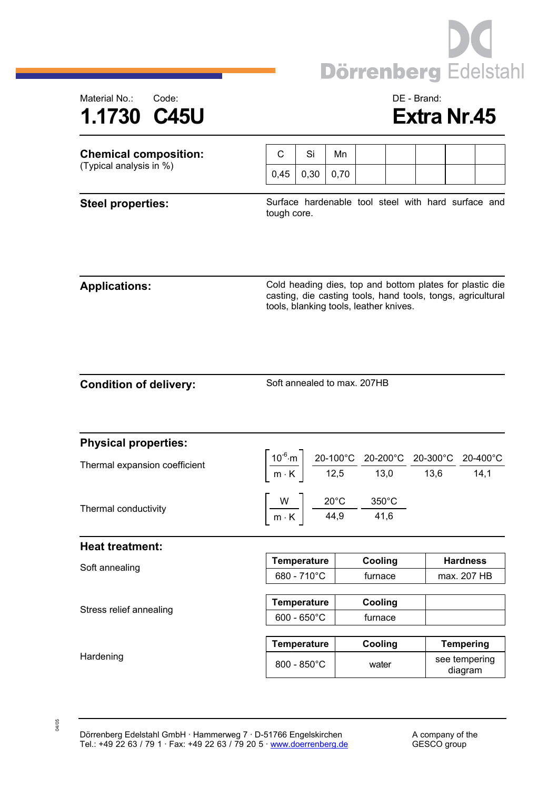



| <b>Chemical composition:</b><br>(Typical analysis in %) | C           | Si                                                                                                                                                                                                                     | Mn                                                                                       |         |         |                                                     |  |  |  |
|---------------------------------------------------------|-------------|------------------------------------------------------------------------------------------------------------------------------------------------------------------------------------------------------------------------|------------------------------------------------------------------------------------------|---------|---------|-----------------------------------------------------|--|--|--|
|                                                         | 0,45        | 0,30                                                                                                                                                                                                                   | 0,70                                                                                     |         |         |                                                     |  |  |  |
| <b>Steel properties:</b>                                | tough core. |                                                                                                                                                                                                                        |                                                                                          |         |         | Surface hardenable tool steel with hard surface and |  |  |  |
| <b>Applications:</b>                                    |             | Cold heading dies, top and bottom plates for plastic die<br>casting, die casting tools, hand tools, tongs, agricultural<br>tools, blanking tools, leather knives.                                                      |                                                                                          |         |         |                                                     |  |  |  |
| <b>Condition of delivery:</b>                           |             | Soft annealed to max. 207HB                                                                                                                                                                                            |                                                                                          |         |         |                                                     |  |  |  |
| <b>Physical properties:</b>                             |             |                                                                                                                                                                                                                        |                                                                                          |         |         |                                                     |  |  |  |
| Thermal expansion coefficient                           |             | $\left[\frac{10^{-6}\text{·m}}{\text{m} \cdot \text{K}}\right] \frac{\text{20-100°C}}{\text{12,5}} \frac{\text{20-200°C}}{\text{13,0}} \frac{\text{20-300°C}}{\text{13,6}} \frac{\text{20-400°C}}{\text{14,1}}\right]$ |                                                                                          |         |         |                                                     |  |  |  |
| Thermal conductivity                                    |             |                                                                                                                                                                                                                        | $\left[\frac{W}{m\cdot K}\right]$ $\frac{20^{\circ}C}{44,9}$ $\frac{350^{\circ}C}{41,6}$ |         |         |                                                     |  |  |  |
| <b>Heat treatment:</b>                                  |             |                                                                                                                                                                                                                        |                                                                                          |         |         |                                                     |  |  |  |
| Soft annealing                                          |             | <b>Temperature</b>                                                                                                                                                                                                     |                                                                                          | Cooling |         | <b>Hardness</b><br>max. 207 HB                      |  |  |  |
|                                                         |             | 680 - 710°C                                                                                                                                                                                                            |                                                                                          |         | furnace |                                                     |  |  |  |
| Stress relief annealing                                 |             | <b>Temperature</b>                                                                                                                                                                                                     |                                                                                          | Cooling |         |                                                     |  |  |  |
|                                                         |             | $600 - 650^{\circ}$ C                                                                                                                                                                                                  |                                                                                          | furnace |         |                                                     |  |  |  |

**Temperature Cooling Tempering**  Hardening and a see tempering a seed of the seed of the seed of the seed of the seed of the seed of the seed of the seed of the seed of the seed of the seed of the seed of the seed of the seed of the seed of the seed of th diagram